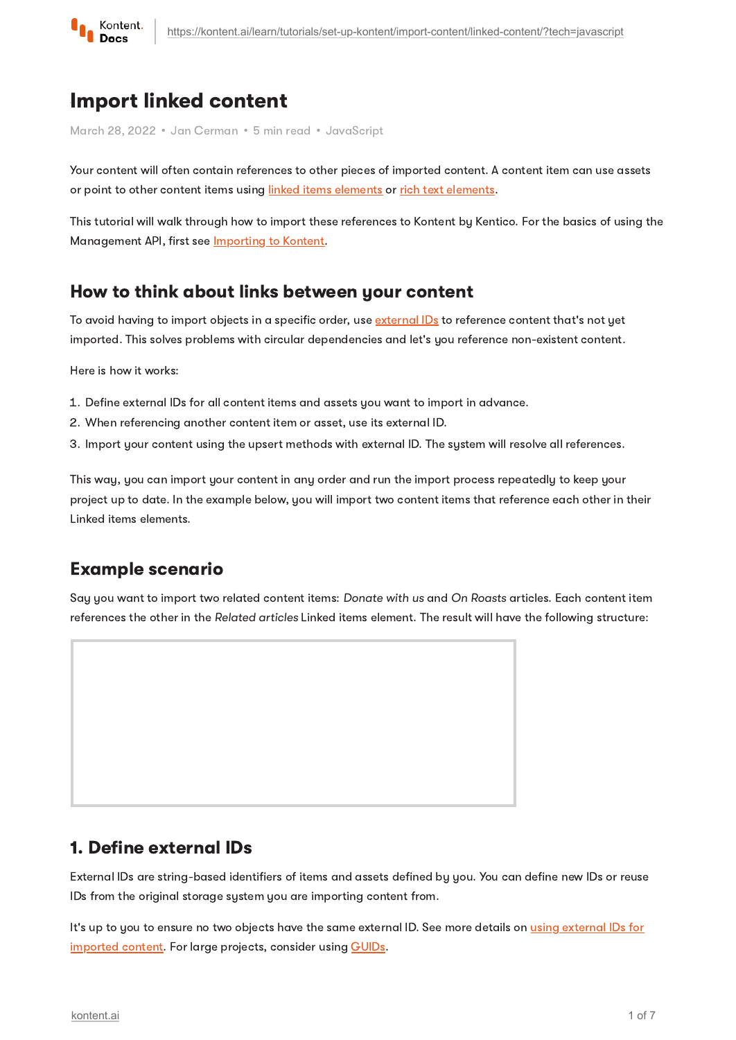

# Import linked content

March 28, 2022 • Jan Cerman • 5 min read • JavaScript

Your content will often contain references to other pieces of imported content. A content item can use assets or point to other content items using linked items [elements](https://kontent.ai/learn/tutorials/write-and-collaborate/structure-your-content/build-landing-pages/) or rich text [elements.](https://kontent.ai/learn/tutorials/write-and-collaborate/create-content/compose-content-in-rich-text/)

This tutorial will walk through how to import these references to Kontent by Kentico. For the basics of using the Management API, first see **[Importing](https://kontent.ai/learn/tutorials/set-up-kontent/import-content/overview/) to Kontent**.

#### How to think about links between your content

To avoid having to import objects in a specific order, use [external](https://kontent.ai/learn/reference/management-api-v2/#section/External-IDs-for-imported-content) IDs to reference content that's not yet imported. This solves problems with circular dependencies and let's you reference non-existent content.

Here is how it works:

- 1. Define external IDs for all content items and assets you want to import in advance.
- 2 When referencing another content item or asset, use its external ID.
- 3. Import your content using the upsert methods with external ID. The system will resolve all references.

This way, you can import your content in any order and run the import process repeatedly to keep your project up to date. In the example below, you will import two content items that reference each other in their Linked items elements.

## Example scenario

Say you want to import two related content items: Donate with us and On Roasts articles. Each content item references the other in the Related articles Linked items element. The result will have the following structure:



#### 1. Define external IDs

External IDs are string-based identifiers of items and assets defined by you. You can define new IDs or reuse IDs from the original storage system you are importing content from.

It's up to you to ensure no two objects have the same external ID. See more details on using external IDs for [imported](https://kontent.ai/learn/reference/management-api-v2/) content. For large projects, consider using [GUIDs.](https://betterexplained.com/articles/the-quick-guide-to-guids/)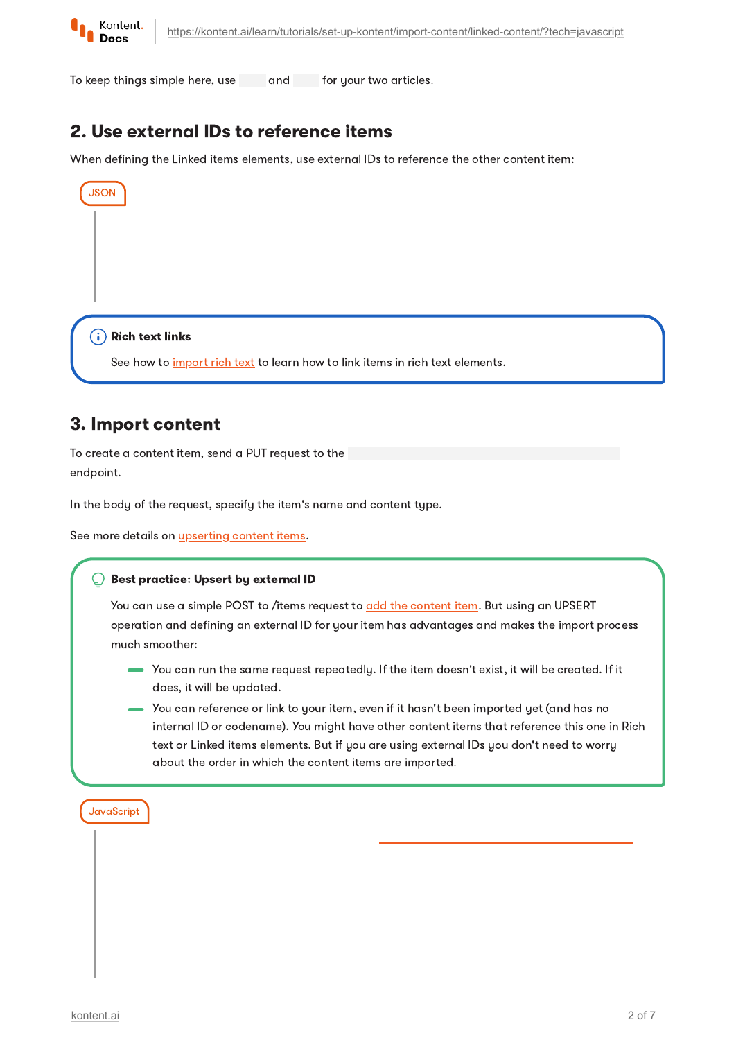

JSON

To keep things simple here, use and for your two articles.

# 2. Use external IDs to reference items

When defining the Linked items elements, use external IDs to reference the other content item:

 $(i)$  Rich text links

See how to *[import](https://kontent.ai/learn/tutorials/set-up-kontent/import-content/rich-text/) rich text* to learn how to link items in rich text elements.

### 3. Import content

To create a content item, send a PUT request to the endpoint.

In the body of the request, specify the item's name and content type.

See more details on *[upserting](https://kontent.ai/learn/reference/management-api-v2/#operation/upsert-a-content-item) content items*.

#### Best practice: Upsert by external ID

You can use a simple POST to /items request to add the [content](https://kontent.ai/learn/reference/management-api-v2/#operation/add-a-content-item) item. But using an UPSERT operation and defining an external ID for your item has advantages and makes the import process much smoother:

- You can run the same request repeatedly. If the item doesn't exist, it will be created. If it does, it will be updated.
- You can reference or link to your item, even if it hasn't been imported yet (and has no internal ID or codename). You might have other content items that reference this one in Rich text or Linked items elements. But if you are using external IDs you don't need to worry about the order in which the content items are imported.

**JavaScript**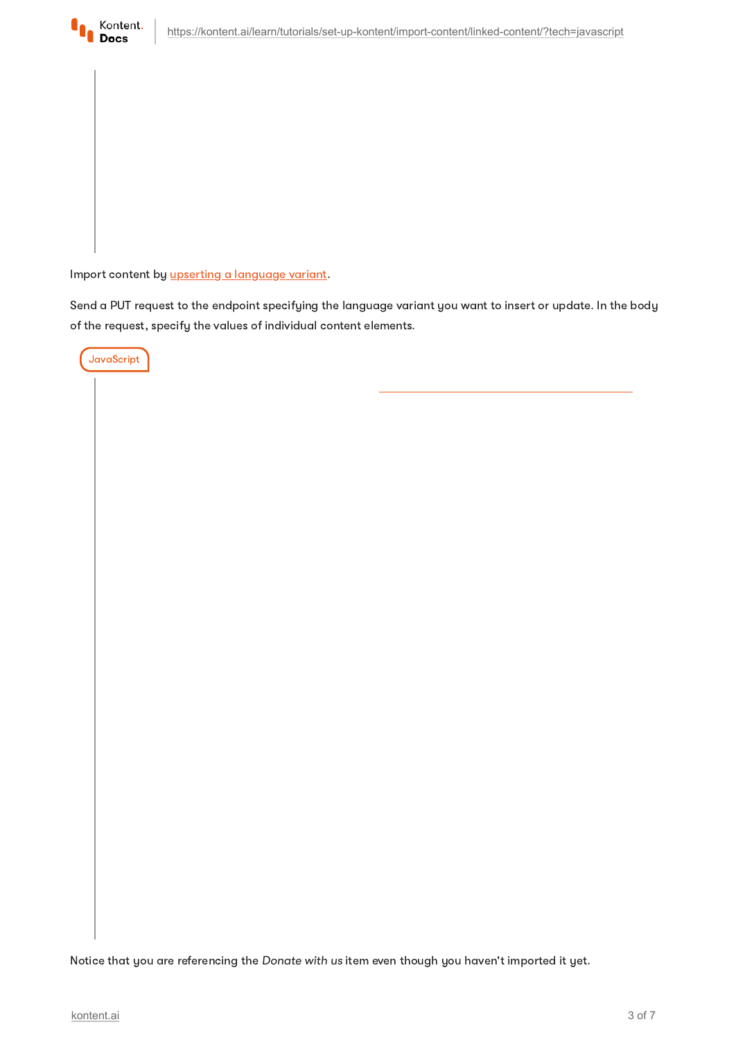

Import content by upserting a [language](https://kontent.ai/learn/reference/management-api-v2/#operation/upsert-a-language-variant) variant.

Send a PUT request to the endpoint specifying the language variant you want to insert or update. In the body of the request, specify the values of individual content elements.



Notice that you are referencing the Donate with us item even though you haven't imported it yet.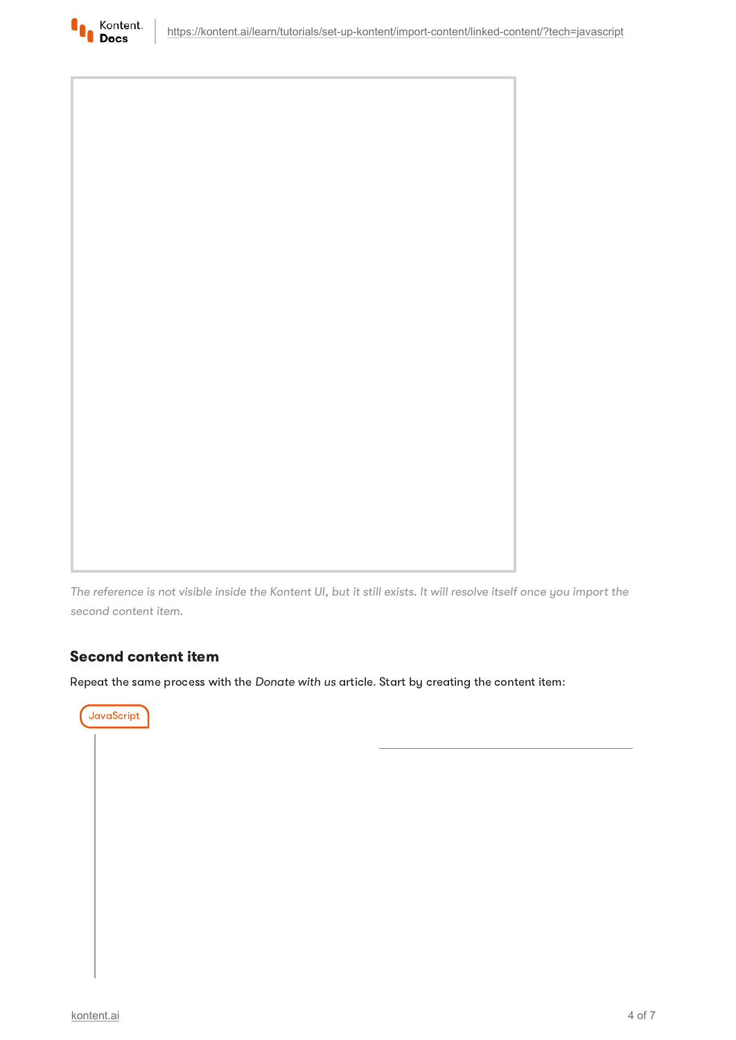



The reference is not visible inside the Kontent UI, but it still exists. It will resolve itself once you import the second content item.

#### Second content item

Repeat the same process with the Donate with us article. Start by creating the content item:

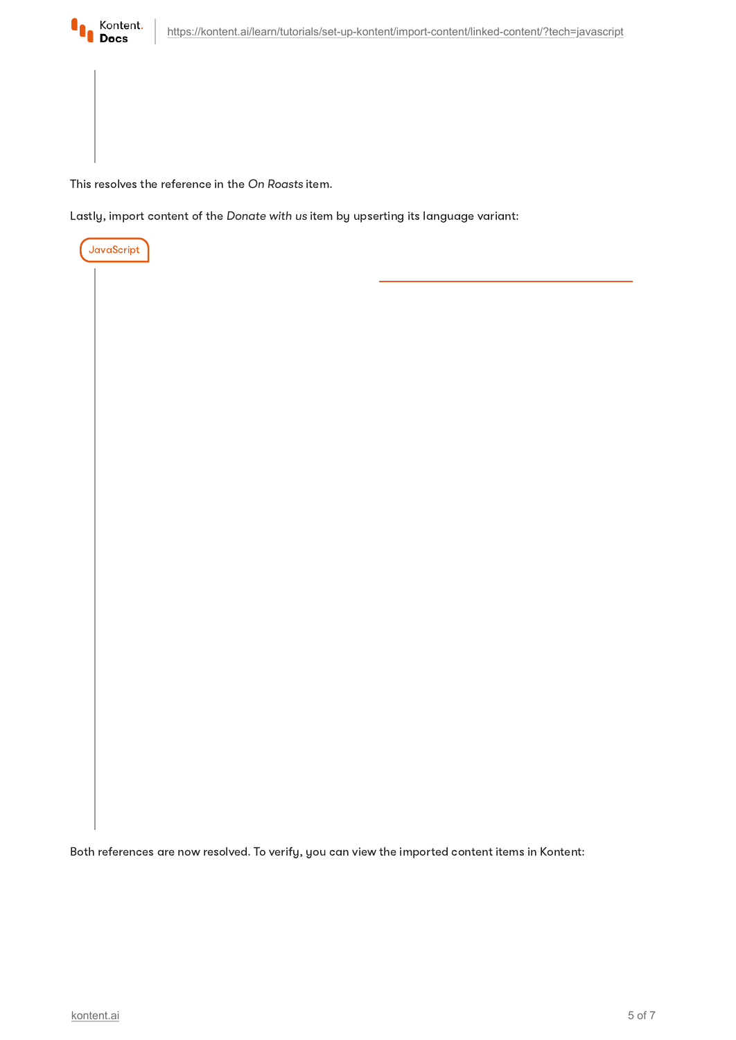

This resolves the reference in the On Roasts item.

Lastly, import content of the Donate with us item by upserting its language variant:



Both references are now resolved. To verify, you can view the imported content items in Kontent: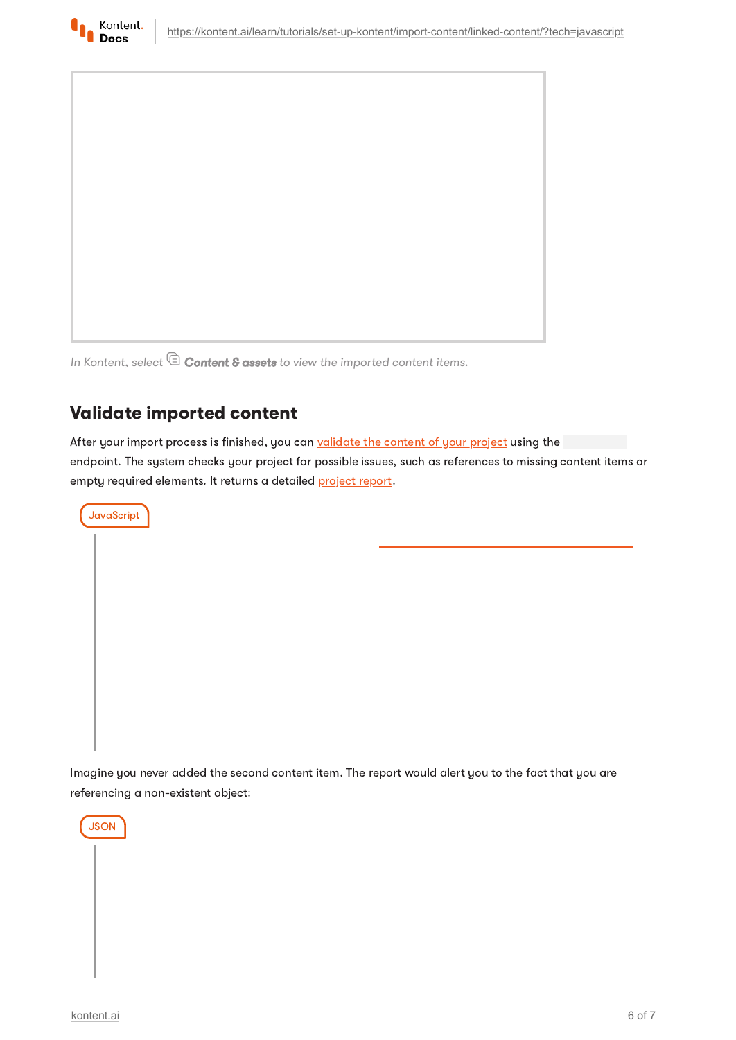



In Kontent, select  $\mathbb \widehat{\Xi}$  Content & assets to view the imported content items.

# Validate imported content

After your import process is finished, you can [validate](https://kontent.ai/learn/reference/management-api-v2/#operation/validate-project-content) the content of your project using the endpoint. The system checks your project for possible issues, such as references to missing content items or empty required elements. It returns a detailed [project](https://kontent.ai/learn/reference/management-api-v2/#tag/Project-validation) report.



Imagine you never added the second content item. The report would alert you to the fact that you are referencing a non-existent object: